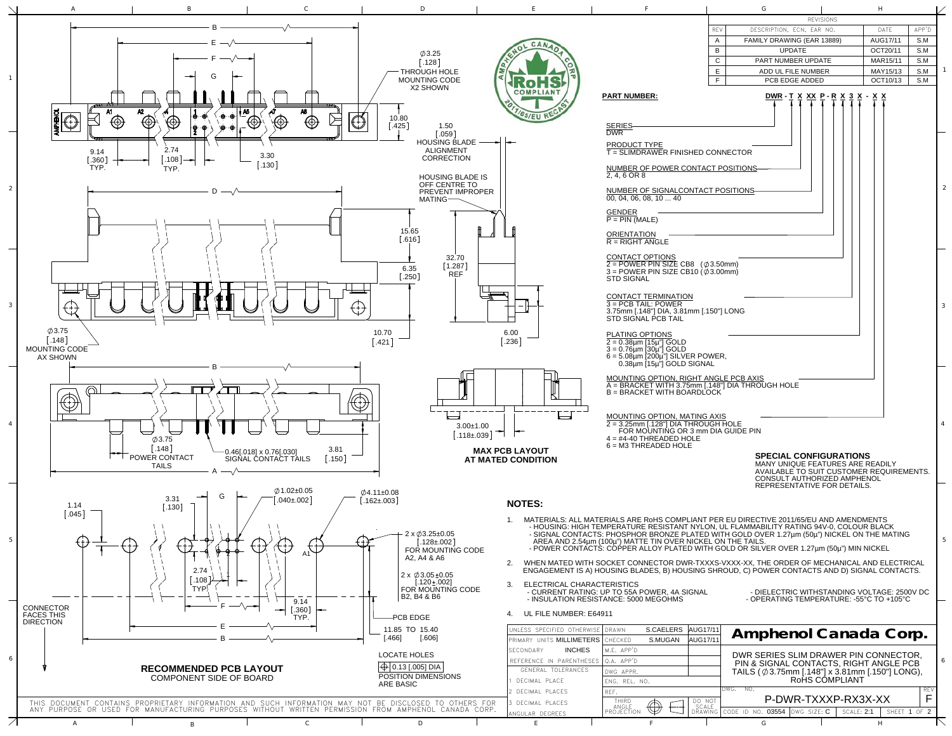